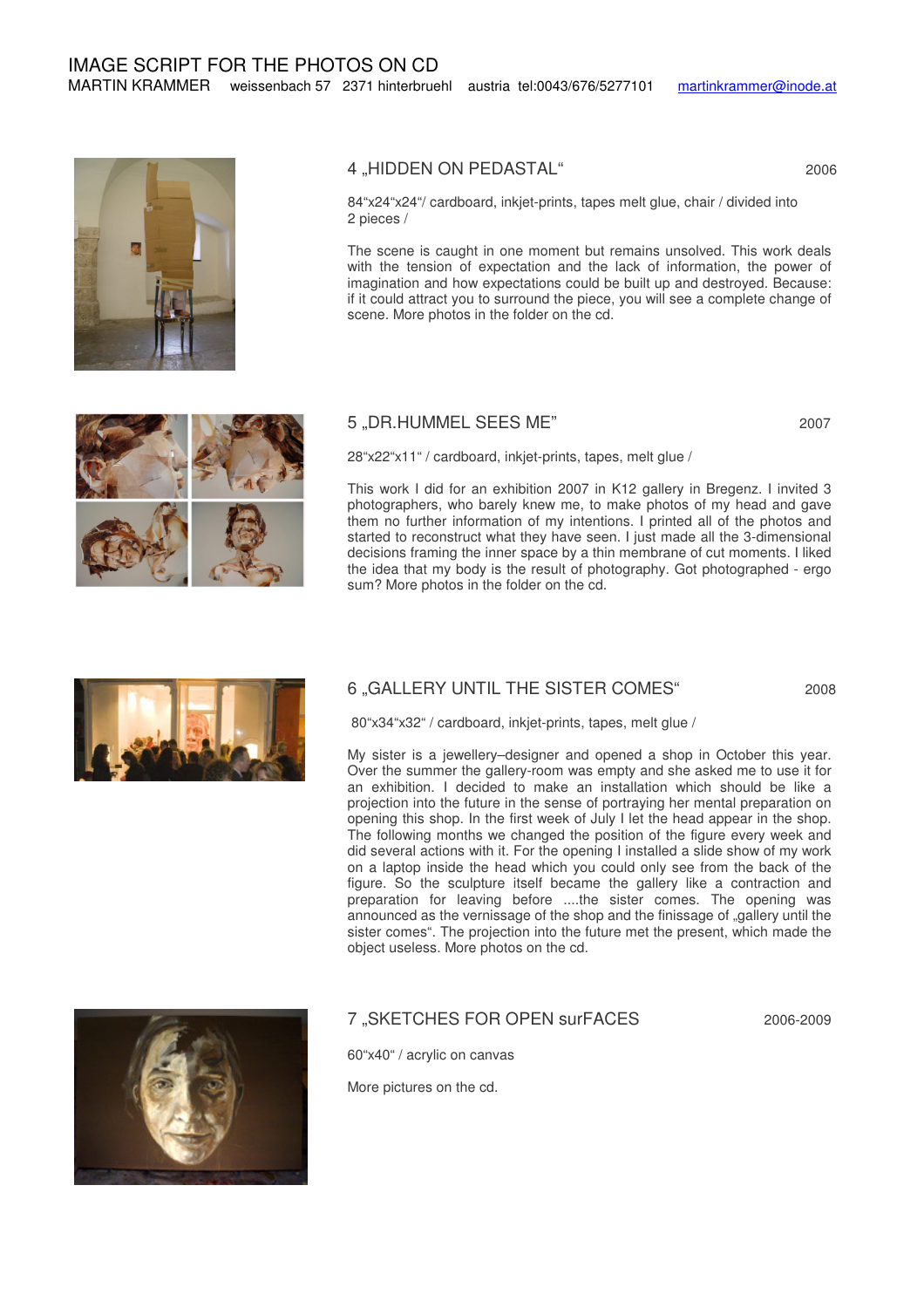

## 4 "HIDDEN ON PEDASTAL" 2006

84"x24"x24"/ cardboard, inkjet-prints, tapes melt glue, chair / divided into 2 pieces /

The scene is caught in one moment but remains unsolved. This work deals with the tension of expectation and the lack of information, the power of imagination and how expectations could be built up and destroyed. Because: if it could attract you to surround the piece, you will see a complete change of scene. More photos in the folder on the cd.

## 5 ,DR.HUMMEL SEES ME" 2007



28"x22"x11" / cardboard, inkjet-prints, tapes, melt glue /

This work I did for an exhibition 2007 in K12 gallery in Bregenz. I invited 3 photographers, who barely knew me, to make photos of my head and gave them no further information of my intentions. I printed all of the photos and started to reconstruct what they have seen. I just made all the 3-dimensional decisions framing the inner space by a thin membrane of cut moments. I liked the idea that my body is the result of photography. Got photographed - ergo sum? More photos in the folder on the cd.





My sister is a jewellery–designer and opened a shop in October this year. Over the summer the gallery-room was empty and she asked me to use it for an exhibition. I decided to make an installation which should be like a projection into the future in the sense of portraying her mental preparation on opening this shop. In the first week of July I let the head appear in the shop. The following months we changed the position of the figure every week and did several actions with it. For the opening I installed a slide show of my work on a laptop inside the head which you could only see from the back of the figure. So the sculpture itself became the gallery like a contraction and preparation for leaving before ....the sister comes. The opening was announced as the vernissage of the shop and the finissage of "gallery until the sister comes". The projection into the future met the present, which made the object useless. More photos on the cd.



# 7 .SKETCHES FOR OPEN surFACES 2006-2009

60"x40" / acrylic on canvas

More pictures on the cd.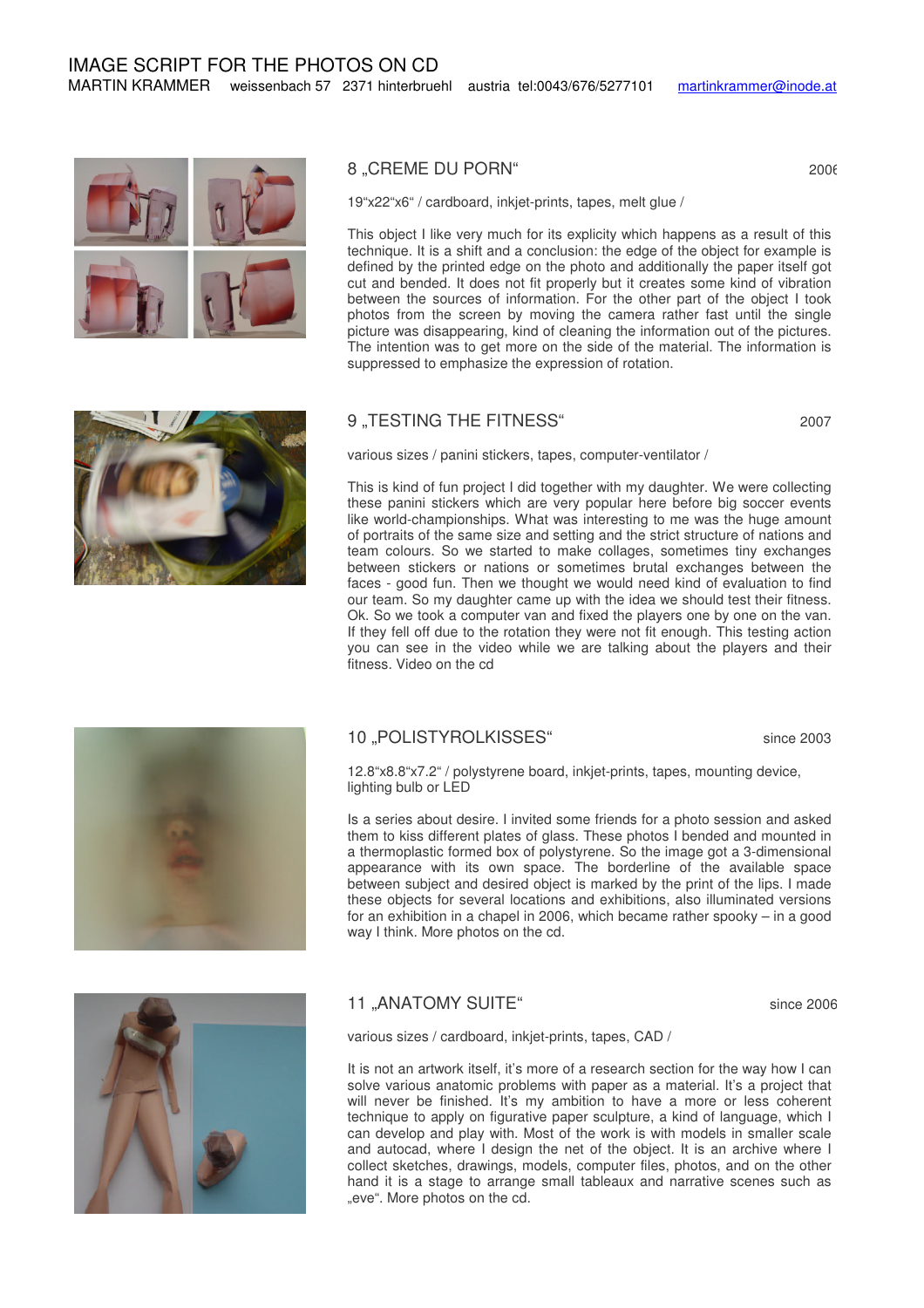



## 8 "CREME DU PORN" 2006

19"x22"x6" / cardboard, inkjet-prints, tapes, melt glue /

This object I like very much for its explicity which happens as a result of this technique. It is a shift and a conclusion: the edge of the object for example is defined by the printed edge on the photo and additionally the paper itself got cut and bended. It does not fit properly but it creates some kind of vibration between the sources of information. For the other part of the object I took photos from the screen by moving the camera rather fast until the single picture was disappearing, kind of cleaning the information out of the pictures. The intention was to get more on the side of the material. The information is suppressed to emphasize the expression of rotation.

### 9 "TESTING THE FITNESS" 2007

various sizes / panini stickers, tapes, computer-ventilator /

This is kind of fun project I did together with my daughter. We were collecting these panini stickers which are very popular here before big soccer events like world-championships. What was interesting to me was the huge amount of portraits of the same size and setting and the strict structure of nations and team colours. So we started to make collages, sometimes tiny exchanges between stickers or nations or sometimes brutal exchanges between the faces - good fun. Then we thought we would need kind of evaluation to find our team. So my daughter came up with the idea we should test their fitness. Ok. So we took a computer van and fixed the players one by one on the van. If they fell off due to the rotation they were not fit enough. This testing action you can see in the video while we are talking about the players and their fitness. Video on the cd



#### 10 "POLISTYROLKISSES" since 2003

12.8"x8.8"x7.2" / polystyrene board, inkjet-prints, tapes, mounting device, lighting bulb or LED

Is a series about desire. I invited some friends for a photo session and asked them to kiss different plates of glass. These photos I bended and mounted in a thermoplastic formed box of polystyrene. So the image got a 3-dimensional appearance with its own space. The borderline of the available space between subject and desired object is marked by the print of the lips. I made these objects for several locations and exhibitions, also illuminated versions for an exhibition in a chapel in 2006, which became rather spooky – in a good way I think. More photos on the cd.



#### 11 ANATOMY SUITE" since 2006

various sizes / cardboard, inkjet-prints, tapes, CAD /

It is not an artwork itself, it's more of a research section for the way how I can solve various anatomic problems with paper as a material. It's a project that will never be finished. It's my ambition to have a more or less coherent technique to apply on figurative paper sculpture, a kind of language, which I can develop and play with. Most of the work is with models in smaller scale and autocad, where I design the net of the object. It is an archive where I collect sketches, drawings, models, computer files, photos, and on the other hand it is a stage to arrange small tableaux and narrative scenes such as "eve". More photos on the cd.